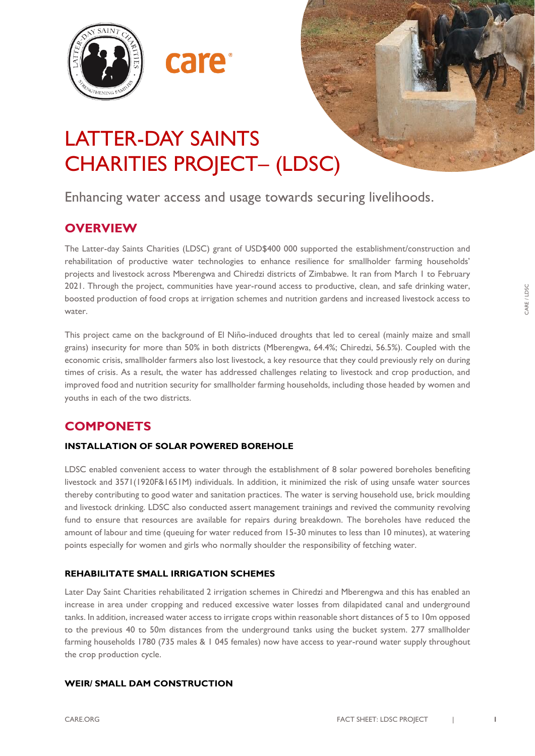



# LATTER-DAY SAINTS CHARITIES PROJECT– (LDSC)

care

Enhancing water access and usage towards securing livelihoods.

# **OVERVIEW**

The Latter-day Saints Charities (LDSC) grant of USD\$400 000 supported the establishment/construction and rehabilitation of productive water technologies to enhance resilience for smallholder farming households' projects and livestock across Mberengwa and Chiredzi districts of Zimbabwe. It ran from March 1 to February 2021. Through the project, communities have year-round access to productive, clean, and safe drinking water, boosted production of food crops at irrigation schemes and nutrition gardens and increased livestock access to water.

This project came on the background of El Niño-induced droughts that led to cereal (mainly maize and small grains) insecurity for more than 50% in both districts (Mberengwa, 64.4%; Chiredzi, 56.5%). Coupled with the economic crisis, smallholder farmers also lost livestock, a key resource that they could previously rely on during times of crisis. As a result, the water has addressed challenges relating to livestock and crop production, and improved food and nutrition security for smallholder farming households, including those headed by women and youths in each of the two districts.

# **COMPONETS**

## **INSTALLATION OF SOLAR POWERED BOREHOLE**

LDSC enabled convenient access to water through the establishment of 8 solar powered boreholes benefiting livestock and 3571(1920F&1651M) individuals. In addition, it minimized the risk of using unsafe water sources thereby contributing to good water and sanitation practices. The water is serving household use, brick moulding and livestock drinking. LDSC also conducted assert management trainings and revived the community revolving fund to ensure that resources are available for repairs during breakdown. The boreholes have reduced the amount of labour and time (queuing for water reduced from 15-30 minutes to less than 10 minutes), at watering points especially for women and girls who normally shoulder the responsibility of fetching water.

## **REHABILITATE SMALL IRRIGATION SCHEMES**

Later Day Saint Charities rehabilitated 2 irrigation schemes in Chiredzi and Mberengwa and this has enabled an increase in area under cropping and reduced excessive water losses from dilapidated canal and underground tanks. In addition, increased water access to irrigate crops within reasonable short distances of 5 to 10m opposed to the previous 40 to 50m distances from the underground tanks using the bucket system. 277 smallholder farming households 1780 (735 males & 1 045 females) now have access to year-round water supply throughout the crop production cycle.

## **WEIR/ SMALL DAM CONSTRUCTION**